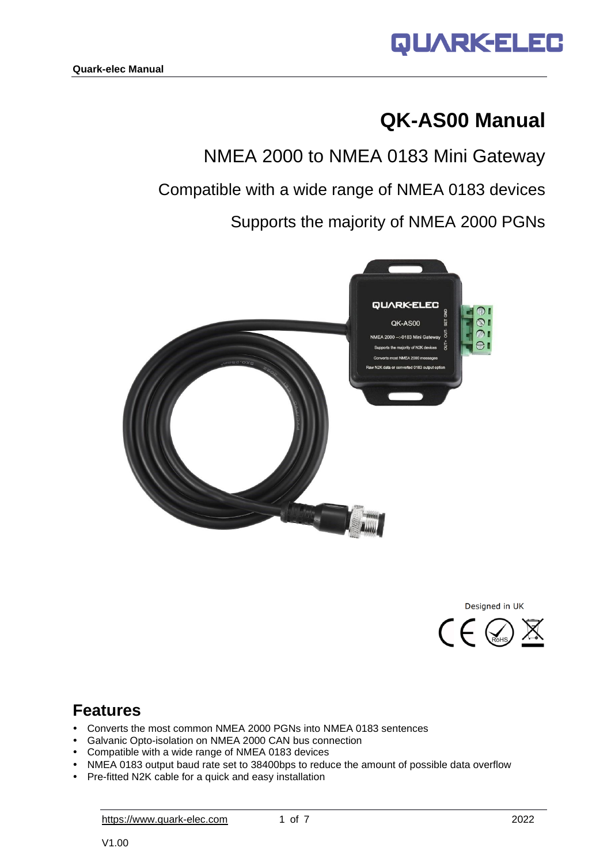

# **QK-AS00 Manual**

NMEA 2000 to NMEA 0183 Mini Gateway Compatible with a wide range of NMEA 0183 devices Supports the majority of NMEA 2000 PGNs





## **Features**

- Converts the most common NMEA 2000 PGNs into NMEA 0183 sentences
- Galvanic Opto-isolation on NMEA 2000 CAN bus connection
- Compatible with a wide range of NMEA 0183 devices
- NMEA 0183 output baud rate set to 38400bps to reduce the amount of possible data overflow
- Pre-fitted N2K cable for a quick and easy installation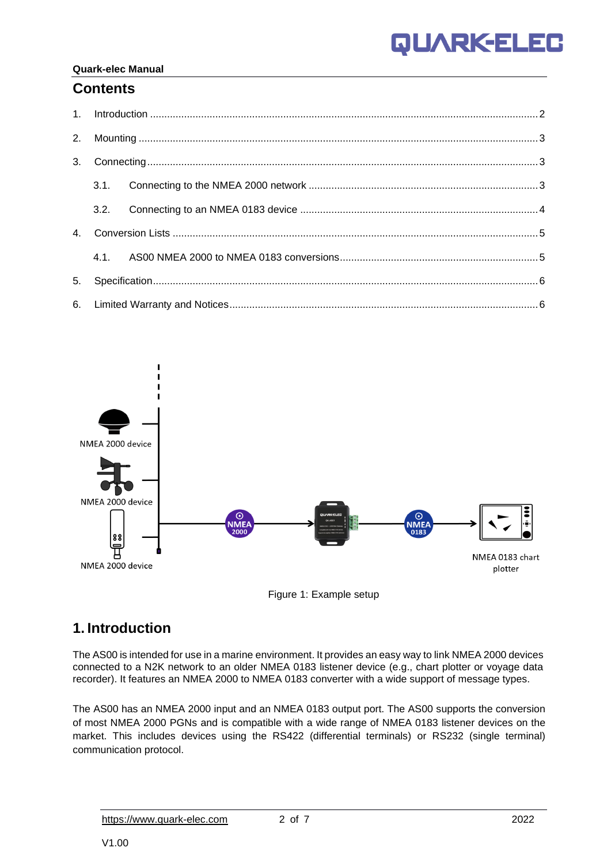### **QUARKELE**  $\Box$

#### **Quark-elec Manual**

### **Contents**





## <span id="page-1-0"></span>**1. Introduction**

The AS00 is intended for use in a marine environment. It provides an easy way to link NMEA 2000 devices connected to a N2K network to an older NMEA 0183 listener device (e.g., chart plotter or voyage data recorder). It features an NMEA 2000 to NMEA 0183 converter with a wide support of message types.

The AS00 has an NMEA 2000 input and an NMEA 0183 output port. The AS00 supports the conversion of most NMEA 2000 PGNs and is compatible with a wide range of NMEA 0183 listener devices on the market. This includes devices using the RS422 (differential terminals) or RS232 (single terminal) communication protocol.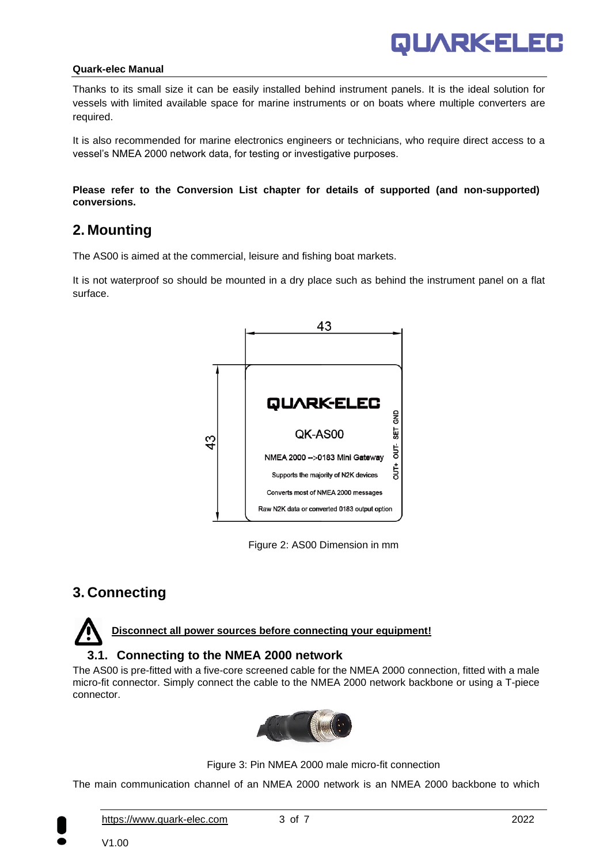

Thanks to its small size it can be easily installed behind instrument panels. It is the ideal solution for vessels with limited available space for marine instruments or on boats where multiple converters are required.

It is also recommended for marine electronics engineers or technicians, who require direct access to a vessel's NMEA 2000 network data, for testing or investigative purposes.

**Please refer to the [Conversion List c](http://actisense.com/products/nmea-2000/ngw-1/downloads-ngw1.html)hapter for details of supported (and non-supported) conversions.** 

### <span id="page-2-0"></span>**2. Mounting**

The AS00 is aimed at the commercial, leisure and fishing boat markets.

It is not waterproof so should be mounted in a dry place such as behind the instrument panel on a flat surface.



Figure 2: AS00 Dimension in mm

## <span id="page-2-1"></span>**3. Connecting**

**Disconnect all power sources before connecting your equipment!**

#### **3.1. Connecting to the NMEA 2000 network**

<span id="page-2-2"></span>The AS00 is pre-fitted with a five-core screened cable for the NMEA 2000 connection, fitted with a male micro-fit connector. Simply connect the cable to the NMEA 2000 network backbone or using a T-piece connector.



Figure 3: Pin NMEA 2000 male micro-fit connection

The main communication channel of an NMEA 2000 network is an NMEA 2000 backbone to which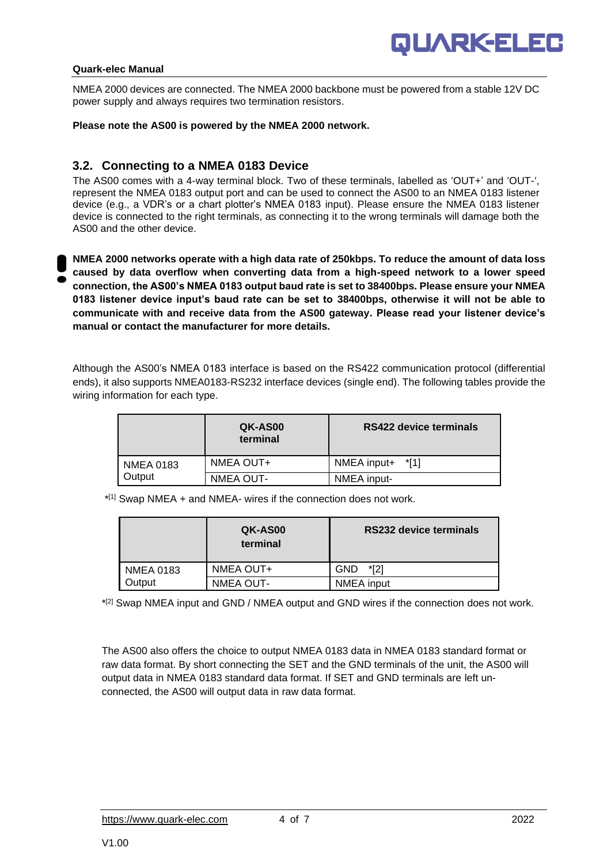

NMEA 2000 devices are connected. The NMEA 2000 backbone must be powered from a stable 12V DC power supply and always requires two termination resistors.

**Please note the AS00 is powered by the NMEA 2000 network.**

#### <span id="page-3-0"></span>**3.2. Connecting to a NMEA 0183 Device**

The AS00 comes with a 4-way terminal block. Two of these terminals, labelled as 'OUT+' and 'OUT-', represent the NMEA 0183 output port and can be used to connect the AS00 to an NMEA 0183 listener device (e.g., a VDR's or a chart plotter's NMEA 0183 input). Please ensure the NMEA 0183 listener device is connected to the right terminals, as connecting it to the wrong terminals will damage both the AS00 and the other device.

**NMEA 2000 networks operate with a high data rate of 250kbps. To reduce the amount of data loss caused by data overflow when converting data from a high-speed network to a lower speed connection, the AS00's NMEA 0183 output baud rate is set to 38400bps. Please ensure your NMEA 0183 listener device input's baud rate can be set to 38400bps, otherwise it will not be able to communicate with and receive data from the AS00 gateway. Please read your listener device's manual or contact the manufacturer for more details.** 

Although the AS00's NMEA 0183 interface is based on the RS422 communication protocol (differential ends), it also supports NMEA0183-RS232 interface devices (single end). The following tables provide the wiring information for each type.

|           | QK-AS00<br>terminal | RS422 device terminals |
|-----------|---------------------|------------------------|
| NMEA 0183 | NMEA OUT+           | NMEA input+<br>*[1]    |
| Output    | <b>NMEA OUT-</b>    | NMEA input-            |

\* [1] Swap NMEA + and NMEA- wires if the connection does not work.

|                  | QK-AS00<br>terminal | <b>RS232 device terminals</b> |
|------------------|---------------------|-------------------------------|
| <b>NMEA 0183</b> | NMEA OUT+           | *[2]<br><b>GND</b>            |
| Dutput           | <b>NMEA OUT-</b>    | NMEA input                    |

\* [2] Swap NMEA input and GND / NMEA output and GND wires if the connection does not work.

The AS00 also offers the choice to output NMEA 0183 data in NMEA 0183 standard format or raw data format. By short connecting the SET and the GND terminals of the unit, the AS00 will output data in NMEA 0183 standard data format. If SET and GND terminals are left unconnected, the AS00 will output data in raw data format.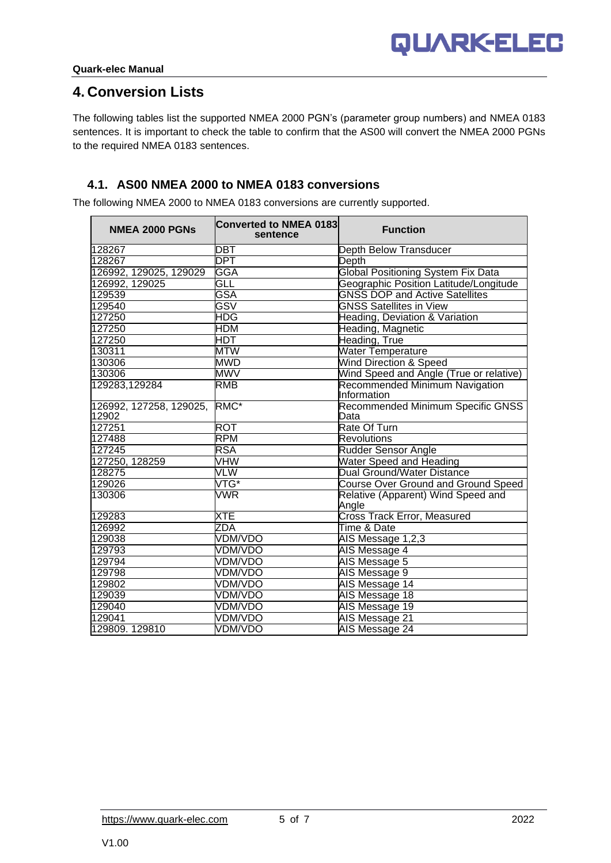### <span id="page-4-0"></span>**4. Conversion Lists**

The following tables list the supported NMEA 2000 PGN's (parameter group numbers) and NMEA 0183 sentences. It is important to check the table to confirm that the AS00 will convert the NMEA 2000 PGNs to the required NMEA 0183 sentences.

### <span id="page-4-1"></span>**4.1. AS00 NMEA 2000 to NMEA 0183 conversions**

The following NMEA 2000 to NMEA 0183 conversions are currently supported.

| <b>NMEA 2000 PGNs</b>            | <b>Converted to NMEA 0183</b><br>sentence | <b>Function</b>                               |
|----------------------------------|-------------------------------------------|-----------------------------------------------|
| 128267                           | $\overline{\text{DBT}}$                   | Depth Below Transducer                        |
| 128267                           | <b>DPT</b>                                | Depth                                         |
| 126992, 129025, 129029           | GGA                                       | <b>Global Positioning System Fix Data</b>     |
| 126992, 129025                   | GLL                                       | Geographic Position Latitude/Longitude        |
| 129539                           | GSA                                       | <b>GNSS DOP and Active Satellites</b>         |
| 129540                           | $\overline{\mathsf{GSV}}$                 | <b>GNSS Satellites in View</b>                |
| 127250                           | <b>HDG</b>                                | Heading, Deviation & Variation                |
| 127250                           | HDM                                       | Heading, Magnetic                             |
| 127250                           | HDT                                       | Heading, True                                 |
| 130311                           | <b>MTW</b>                                | <b>Water Temperature</b>                      |
| 130306                           | <b>MWD</b>                                | <b>Wind Direction &amp; Speed</b>             |
| 130306                           | <b>MWV</b>                                | Wind Speed and Angle (True or relative)       |
| 129283,129284                    | <b>RMB</b>                                | Recommended Minimum Navigation<br>Information |
| 126992, 127258, 129025,<br>12902 | RMC*                                      | Recommended Minimum Specific GNSS<br>Data     |
| 127251                           | <b>ROT</b>                                | Rate Of Turn                                  |
| 127488                           | <b>RPM</b>                                | <b>Revolutions</b>                            |
| 127245                           | <b>RSA</b>                                | <b>Rudder Sensor Angle</b>                    |
| 127250, 128259                   | VHW                                       | <b>Water Speed and Heading</b>                |
| 128275                           | VLW                                       | <b>Dual Ground/Water Distance</b>             |
| 129026                           | $VTG^*$                                   | <b>Course Over Ground and Ground Speed</b>    |
| 130306                           | VWR                                       | Relative (Apparent) Wind Speed and<br>Angle   |
| 129283                           | XTE                                       | <b>Cross Track Error, Measured</b>            |
| 126992                           | ZDA                                       | Time & Date                                   |
| 129038                           | <b>VDM/VDO</b>                            | AIS Message 1,2,3                             |
| 129793                           | <b>VDM/VDO</b>                            | AIS Message 4                                 |
| 129794                           | VDM/VDO                                   | AIS Message 5                                 |
| 129798                           | <b>VDM/VDO</b>                            | AIS Message 9                                 |
| 129802                           | <b>VDM/VDO</b>                            | AIS Message 14                                |
| 129039                           | <b>VDM/VDO</b>                            | AIS Message 18                                |
| 129040                           | <b>VDM/VDO</b>                            | <b>AIS Message 19</b>                         |
| 129041                           | <b>VDM/VDO</b>                            | AIS Message 21                                |
| 129809.129810                    | <b>VDM/VDO</b>                            | AIS Message 24                                |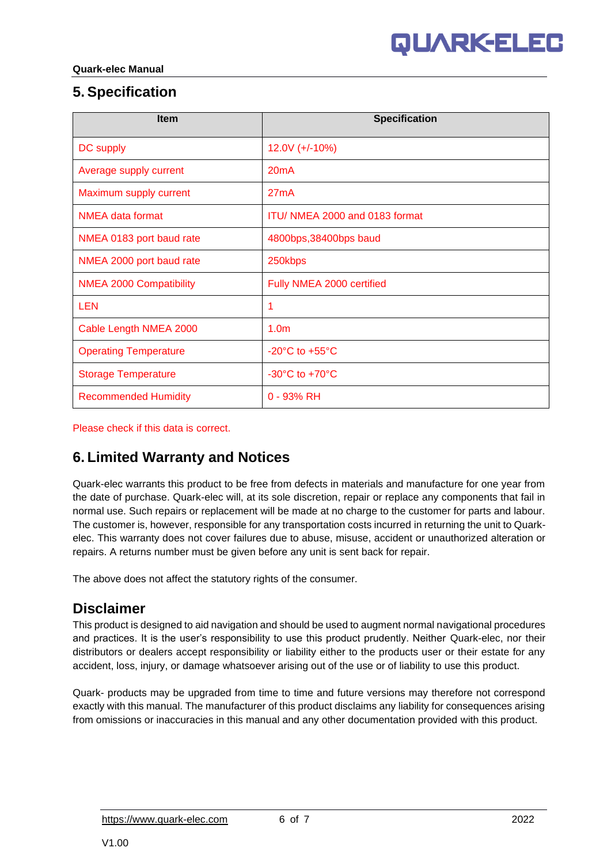## <span id="page-5-0"></span>**5. Specification**

| <b>Item</b>                    | <b>Specification</b>               |
|--------------------------------|------------------------------------|
| DC supply                      | $12.0V (+/-10%)$                   |
| Average supply current         | 20mA                               |
| Maximum supply current         | 27mA                               |
| <b>NMEA data format</b>        | ITU/ NMEA 2000 and 0183 format     |
| NMEA 0183 port baud rate       | 4800bps, 38400bps baud             |
| NMEA 2000 port baud rate       | 250kbps                            |
| <b>NMEA 2000 Compatibility</b> | Fully NMEA 2000 certified          |
| <b>LEN</b>                     | 1                                  |
| Cable Length NMEA 2000         | 1.0 <sub>m</sub>                   |
| <b>Operating Temperature</b>   | $-20^{\circ}$ C to $+55^{\circ}$ C |
| <b>Storage Temperature</b>     | $-30^{\circ}$ C to $+70^{\circ}$ C |
| <b>Recommended Humidity</b>    | $0 - 93%$ RH                       |

Please check if this data is correct.

## <span id="page-5-1"></span>**6. Limited Warranty and Notices**

Quark-elec warrants this product to be free from defects in materials and manufacture for one year from the date of purchase. Quark-elec will, at its sole discretion, repair or replace any components that fail in normal use. Such repairs or replacement will be made at no charge to the customer for parts and labour. The customer is, however, responsible for any transportation costs incurred in returning the unit to Quarkelec. This warranty does not cover failures due to abuse, misuse, accident or unauthorized alteration or repairs. A returns number must be given before any unit is sent back for repair.

The above does not affect the statutory rights of the consumer.

### **Disclaimer**

This product is designed to aid navigation and should be used to augment normal navigational procedures and practices. It is the user's responsibility to use this product prudently. Neither Quark-elec, nor their distributors or dealers accept responsibility or liability either to the products user or their estate for any accident, loss, injury, or damage whatsoever arising out of the use or of liability to use this product.

Quark- products may be upgraded from time to time and future versions may therefore not correspond exactly with this manual. The manufacturer of this product disclaims any liability for consequences arising from omissions or inaccuracies in this manual and any other documentation provided with this product.